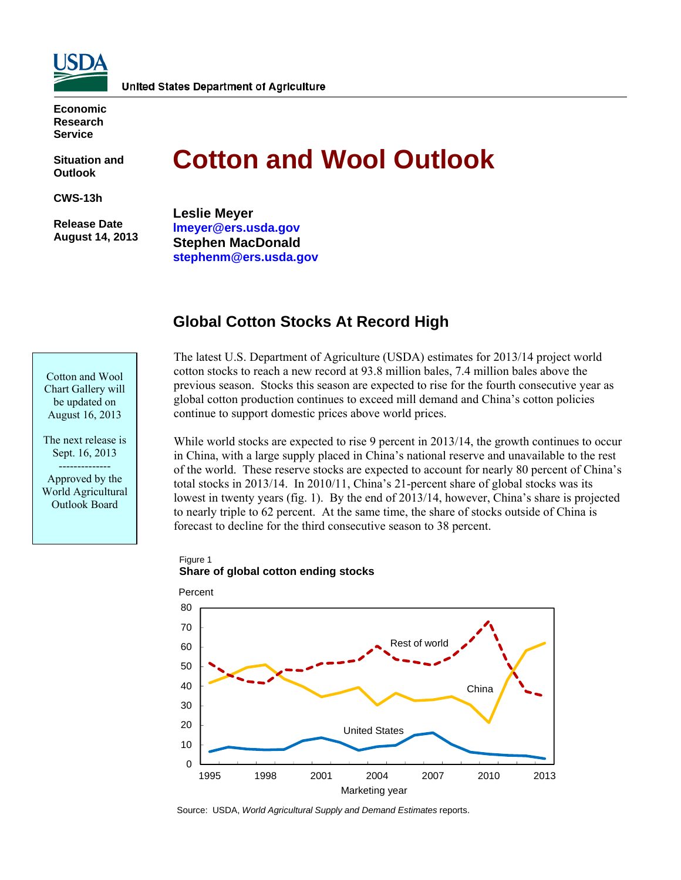

**Economic Research Service** 

**Situation and Outlook** 

**CWS-13h** 

 **Release Date August 14, 2013** 

# **Cotton and Wool Outlook**

**Leslie Meyer [lmeyer@ers.usda.gov](mailto:lmeyer@ers.usda.gov)  Stephen MacDonald [stephenm@ers.usda.gov](mailto:stephenm@ers.usda.gov)** 

# **Global Cotton Stocks At Record High**



The next release is Sept. 16, 2013

-------------- Approved by the World Agricultural Outlook Board

The latest U.S. Department of Agriculture (USDA) estimates for 2013/14 project world cotton stocks to reach a new record at 93.8 million bales, 7.4 million bales above the previous season. Stocks this season are expected to rise for the fourth consecutive year as global cotton production continues to exceed mill demand and China's cotton policies continue to support domestic prices above world prices.

While world stocks are expected to rise 9 percent in 2013/14, the growth continues to occur in China, with a large supply placed in China's national reserve and unavailable to the rest of the world. These reserve stocks are expected to account for nearly 80 percent of China's total stocks in 2013/14. In 2010/11, China's 21-percent share of global stocks was its lowest in twenty years (fig. 1). By the end of 2013/14, however, China's share is projected to nearly triple to 62 percent. At the same time, the share of stocks outside of China is forecast to decline for the third consecutive season to 38 percent.

Figure 1 **Share of global cotton ending stocks**



Source: USDA, *World Agricultural Supply and Demand Estimates* reports.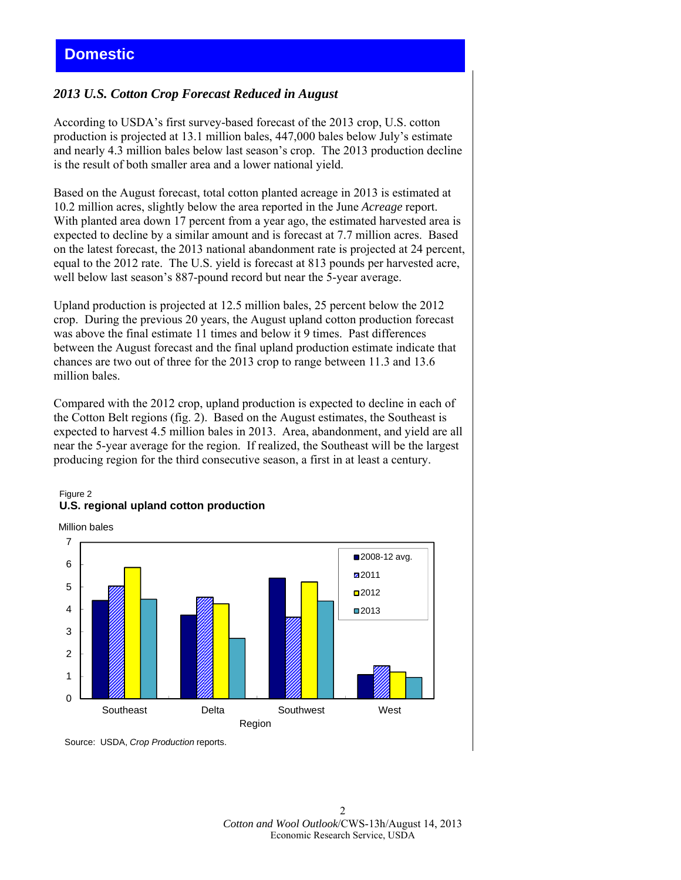### *2013 U.S. Cotton Crop Forecast Reduced in August*

According to USDA's first survey-based forecast of the 2013 crop, U.S. cotton production is projected at 13.1 million bales, 447,000 bales below July's estimate and nearly 4.3 million bales below last season's crop. The 2013 production decline is the result of both smaller area and a lower national yield.

Based on the August forecast, total cotton planted acreage in 2013 is estimated at 10.2 million acres, slightly below the area reported in the June *Acreage* report. With planted area down 17 percent from a year ago, the estimated harvested area is expected to decline by a similar amount and is forecast at 7.7 million acres. Based on the latest forecast, the 2013 national abandonment rate is projected at 24 percent, equal to the 2012 rate. The U.S. yield is forecast at 813 pounds per harvested acre, well below last season's 887-pound record but near the 5-year average.

Upland production is projected at 12.5 million bales, 25 percent below the 2012 crop. During the previous 20 years, the August upland cotton production forecast was above the final estimate 11 times and below it 9 times. Past differences between the August forecast and the final upland production estimate indicate that chances are two out of three for the 2013 crop to range between 11.3 and 13.6 million bales.

Compared with the 2012 crop, upland production is expected to decline in each of the Cotton Belt regions (fig. 2). Based on the August estimates, the Southeast is expected to harvest 4.5 million bales in 2013. Area, abandonment, and yield are all near the 5-year average for the region. If realized, the Southeast will be the largest producing region for the third consecutive season, a first in at least a century.







Source: USDA, *Crop Production* reports.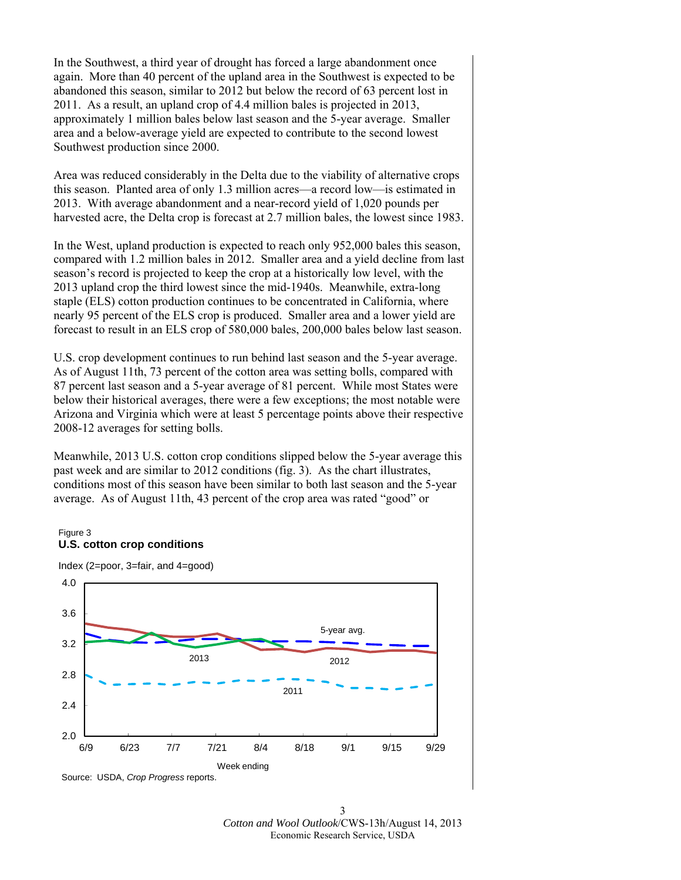In the Southwest, a third year of drought has forced a large abandonment once again. More than 40 percent of the upland area in the Southwest is expected to be abandoned this season, similar to 2012 but below the record of 63 percent lost in 2011. As a result, an upland crop of 4.4 million bales is projected in 2013, approximately 1 million bales below last season and the 5-year average. Smaller area and a below-average yield are expected to contribute to the second lowest Southwest production since 2000.

Area was reduced considerably in the Delta due to the viability of alternative crops this season. Planted area of only 1.3 million acres—a record low—is estimated in 2013. With average abandonment and a near-record yield of 1,020 pounds per harvested acre, the Delta crop is forecast at 2.7 million bales, the lowest since 1983.

In the West, upland production is expected to reach only 952,000 bales this season, compared with 1.2 million bales in 2012. Smaller area and a yield decline from last season's record is projected to keep the crop at a historically low level, with the 2013 upland crop the third lowest since the mid-1940s. Meanwhile, extra-long staple (ELS) cotton production continues to be concentrated in California, where nearly 95 percent of the ELS crop is produced. Smaller area and a lower yield are forecast to result in an ELS crop of 580,000 bales, 200,000 bales below last season.

U.S. crop development continues to run behind last season and the 5-year average. As of August 11th, 73 percent of the cotton area was setting bolls, compared with 87 percent last season and a 5-year average of 81 percent. While most States were below their historical averages, there were a few exceptions; the most notable were Arizona and Virginia which were at least 5 percentage points above their respective 2008-12 averages for setting bolls.

Meanwhile, 2013 U.S. cotton crop conditions slipped below the 5-year average this past week and are similar to 2012 conditions (fig. 3). As the chart illustrates, conditions most of this season have been similar to both last season and the 5-year average. As of August 11th, 43 percent of the crop area was rated "good" or

#### Figure 3 **U.S. cotton crop conditions**



Index (2=poor, 3=fair, and 4=good)

3 *Cotton and Wool Outlook*/CWS-13h/August 14, 2013 Economic Research Service, USDA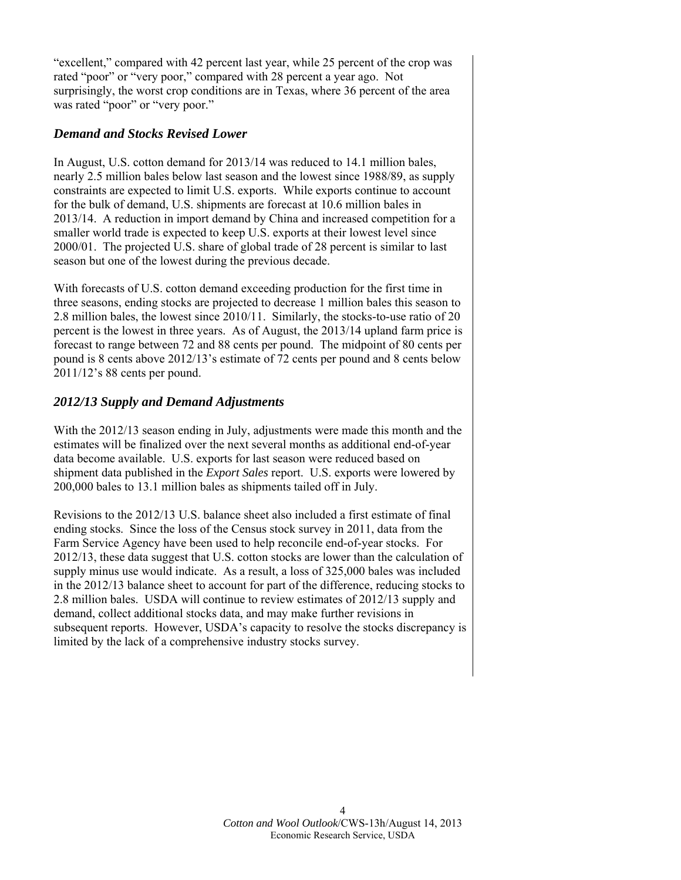"excellent," compared with 42 percent last year, while 25 percent of the crop was rated "poor" or "very poor," compared with 28 percent a year ago. Not surprisingly, the worst crop conditions are in Texas, where 36 percent of the area was rated "poor" or "very poor."

## *Demand and Stocks Revised Lower*

In August, U.S. cotton demand for 2013/14 was reduced to 14.1 million bales, nearly 2.5 million bales below last season and the lowest since 1988/89, as supply constraints are expected to limit U.S. exports. While exports continue to account for the bulk of demand, U.S. shipments are forecast at 10.6 million bales in 2013/14. A reduction in import demand by China and increased competition for a smaller world trade is expected to keep U.S. exports at their lowest level since 2000/01. The projected U.S. share of global trade of 28 percent is similar to last season but one of the lowest during the previous decade.

With forecasts of U.S. cotton demand exceeding production for the first time in three seasons, ending stocks are projected to decrease 1 million bales this season to 2.8 million bales, the lowest since 2010/11. Similarly, the stocks-to-use ratio of 20 percent is the lowest in three years. As of August, the 2013/14 upland farm price is forecast to range between 72 and 88 cents per pound. The midpoint of 80 cents per pound is 8 cents above 2012/13's estimate of 72 cents per pound and 8 cents below 2011/12's 88 cents per pound.

# *2012/13 Supply and Demand Adjustments*

With the 2012/13 season ending in July, adjustments were made this month and the estimates will be finalized over the next several months as additional end-of-year data become available. U.S. exports for last season were reduced based on shipment data published in the *Export Sales* report. U.S. exports were lowered by 200,000 bales to 13.1 million bales as shipments tailed off in July.

Revisions to the 2012/13 U.S. balance sheet also included a first estimate of final ending stocks. Since the loss of the Census stock survey in 2011, data from the Farm Service Agency have been used to help reconcile end-of-year stocks. For 2012/13, these data suggest that U.S. cotton stocks are lower than the calculation of supply minus use would indicate. As a result, a loss of 325,000 bales was included in the 2012/13 balance sheet to account for part of the difference, reducing stocks to 2.8 million bales. USDA will continue to review estimates of 2012/13 supply and demand, collect additional stocks data, and may make further revisions in subsequent reports. However, USDA's capacity to resolve the stocks discrepancy is limited by the lack of a comprehensive industry stocks survey.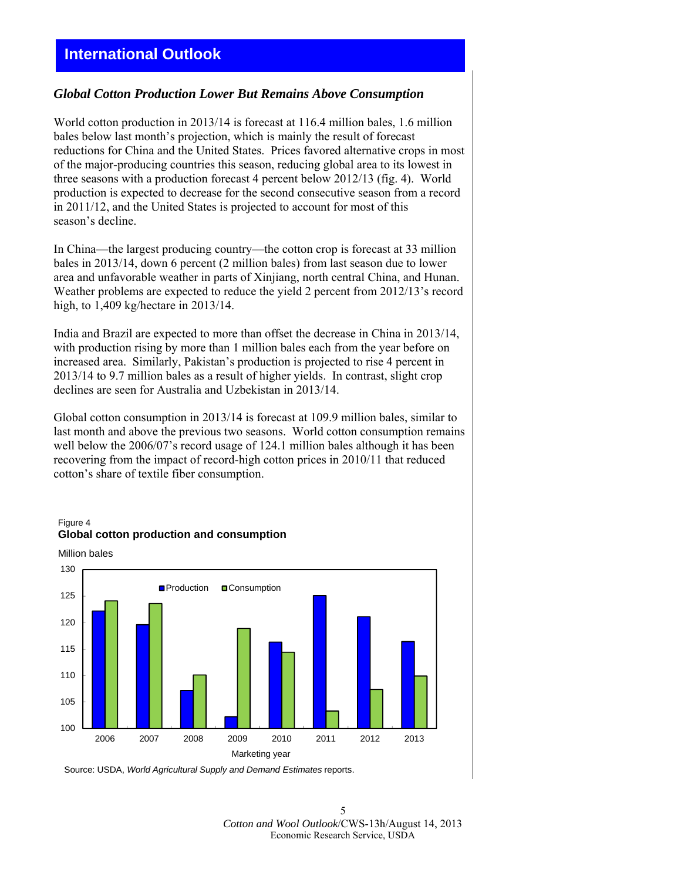# **International Outlook**

### *Global Cotton Production Lower But Remains Above Consumption*

World cotton production in 2013/14 is forecast at 116.4 million bales, 1.6 million bales below last month's projection, which is mainly the result of forecast reductions for China and the United States. Prices favored alternative crops in most of the major-producing countries this season, reducing global area to its lowest in three seasons with a production forecast 4 percent below 2012/13 (fig. 4). World production is expected to decrease for the second consecutive season from a record in 2011/12, and the United States is projected to account for most of this season's decline.

In China—the largest producing country—the cotton crop is forecast at 33 million bales in 2013/14, down 6 percent (2 million bales) from last season due to lower area and unfavorable weather in parts of Xinjiang, north central China, and Hunan. Weather problems are expected to reduce the yield 2 percent from 2012/13's record high, to 1,409 kg/hectare in 2013/14.

India and Brazil are expected to more than offset the decrease in China in 2013/14, with production rising by more than 1 million bales each from the year before on increased area. Similarly, Pakistan's production is projected to rise 4 percent in 2013/14 to 9.7 million bales as a result of higher yields. In contrast, slight crop declines are seen for Australia and Uzbekistan in 2013/14.

Global cotton consumption in 2013/14 is forecast at 109.9 million bales, similar to last month and above the previous two seasons. World cotton consumption remains well below the 2006/07's record usage of 124.1 million bales although it has been recovering from the impact of record-high cotton prices in 2010/11 that reduced cotton's share of textile fiber consumption.







Source: USDA, *World Agricultural Supply and Demand Estimates* reports.

5 *Cotton and Wool Outlook*/CWS-13h/August 14, 2013 Economic Research Service, USDA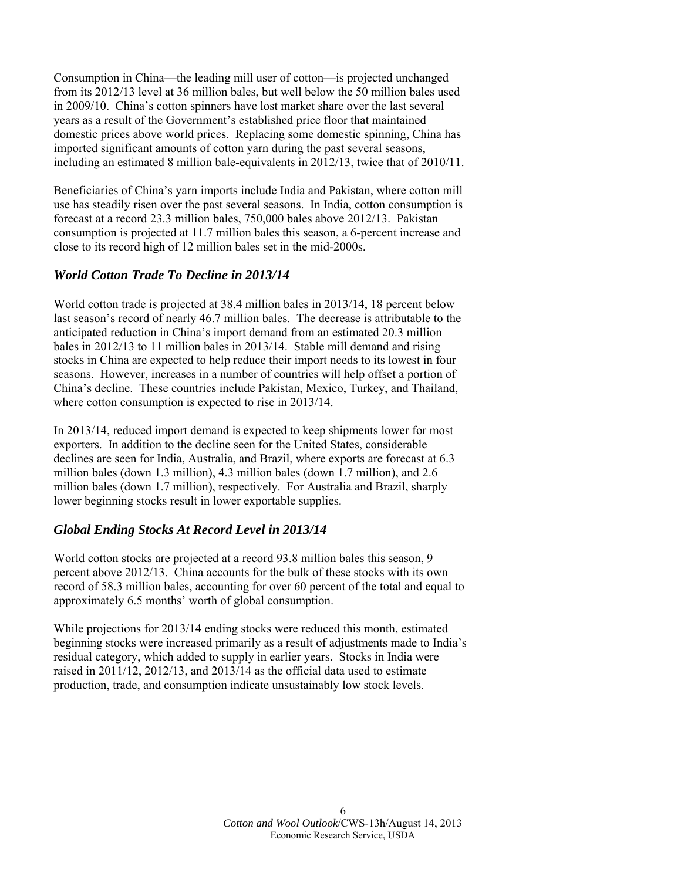Consumption in China—the leading mill user of cotton—is projected unchanged from its 2012/13 level at 36 million bales, but well below the 50 million bales used in 2009/10. China's cotton spinners have lost market share over the last several years as a result of the Government's established price floor that maintained domestic prices above world prices. Replacing some domestic spinning, China has imported significant amounts of cotton yarn during the past several seasons, including an estimated 8 million bale-equivalents in 2012/13, twice that of 2010/11.

Beneficiaries of China's yarn imports include India and Pakistan, where cotton mill use has steadily risen over the past several seasons. In India, cotton consumption is forecast at a record 23.3 million bales, 750,000 bales above 2012/13. Pakistan consumption is projected at 11.7 million bales this season, a 6-percent increase and close to its record high of 12 million bales set in the mid-2000s.

# *World Cotton Trade To Decline in 2013/14*

World cotton trade is projected at 38.4 million bales in 2013/14, 18 percent below last season's record of nearly 46.7 million bales. The decrease is attributable to the anticipated reduction in China's import demand from an estimated 20.3 million bales in 2012/13 to 11 million bales in 2013/14. Stable mill demand and rising stocks in China are expected to help reduce their import needs to its lowest in four seasons. However, increases in a number of countries will help offset a portion of China's decline. These countries include Pakistan, Mexico, Turkey, and Thailand, where cotton consumption is expected to rise in 2013/14.

In 2013/14, reduced import demand is expected to keep shipments lower for most exporters. In addition to the decline seen for the United States, considerable declines are seen for India, Australia, and Brazil, where exports are forecast at 6.3 million bales (down 1.3 million), 4.3 million bales (down 1.7 million), and 2.6 million bales (down 1.7 million), respectively. For Australia and Brazil, sharply lower beginning stocks result in lower exportable supplies.

### *Global Ending Stocks At Record Level in 2013/14*

World cotton stocks are projected at a record 93.8 million bales this season, 9 percent above 2012/13. China accounts for the bulk of these stocks with its own record of 58.3 million bales, accounting for over 60 percent of the total and equal to approximately 6.5 months' worth of global consumption.

While projections for 2013/14 ending stocks were reduced this month, estimated beginning stocks were increased primarily as a result of adjustments made to India's residual category, which added to supply in earlier years. Stocks in India were raised in 2011/12, 2012/13, and 2013/14 as the official data used to estimate production, trade, and consumption indicate unsustainably low stock levels.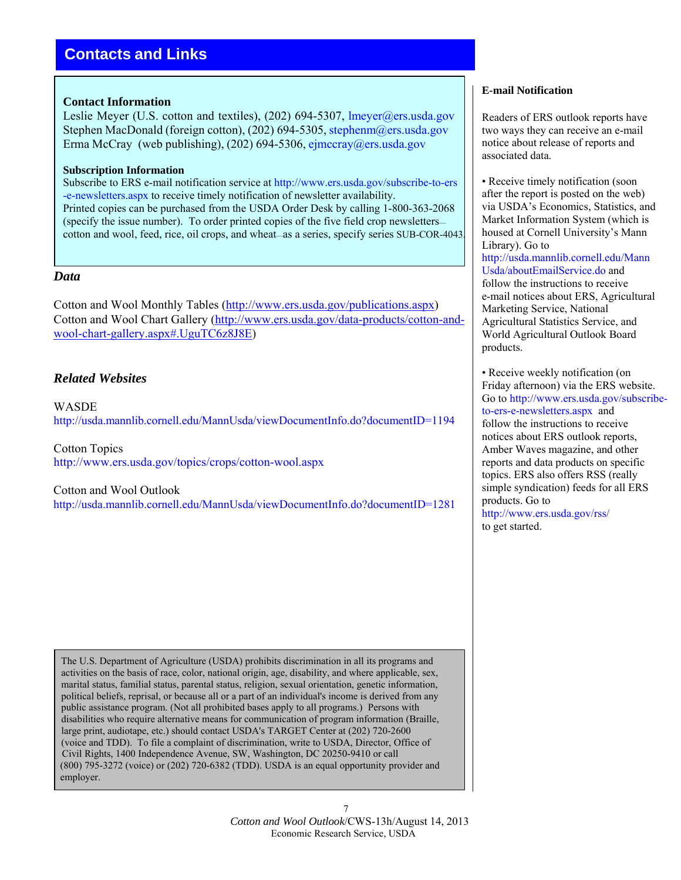# **Contacts and Links**

### **Contact Information**

Leslie Meyer (U.S. cotton and textiles), (202) 694-5307, lmeyer@ers.usda.gov Stephen MacDonald (foreign cotton), (202) 694-5305, stephenm@ers.usda.gov Erma McCray (web publishing),  $(202)$  694-5306, [ejmccray@ers.usda.gov](mailto:ejmccray@ers.usda.gov)

### **Subscription Information**

Subscribe to ERS e-mail notification service at [http://www.ers.usda.gov/subscribe-to-ers](http://www.ers.usda.gov/subscribe-to-ers-e-newsletters.aspx) [-e-newsletters.aspx](http://www.ers.usda.gov/subscribe-to-ers-e-newsletters.aspx) to receive timely notification of newsletter availability. Printed copies can be purchased from the USDA Order Desk by calling 1-800-363-2068 (specify the issue number). To order printed copies of the five field crop newsletters cotton and wool, feed, rice, oil crops, and wheat—as a series, specify series SUB-COR-4043.

### *Data*

Cotton and Wool Monthly Tables [\(http://www.ers.usda.gov/publications.aspx\)](http://www.ers.usda.gov/publications.aspx) Cotton and Wool Chart Gallery [\(http://www.ers.usda.gov/data-products/cotton-and](http://www.ers.usda.gov/data-products/cotton-and-wool-chart-gallery.aspx#.UguTC6z8J8E)[wool-chart-gallery.aspx#.UguTC6z8J8E\)](http://www.ers.usda.gov/data-products/cotton-and-wool-chart-gallery.aspx#.UguTC6z8J8E)

### *Related Websites*

WASDE <http://usda.mannlib.cornell.edu/MannUsda/viewDocumentInfo.do?documentID=1194>

Cotton Topics [http://www.ers.usda.gov/topics/crops/cotton-wool.aspx](http://www.ers.usda.gov/topics/crops/cotton-wool.aspx#.UguX06z8J8E)

### Cotton and Wool Outlook

<http://usda.mannlib.cornell.edu/MannUsda/viewDocumentInfo.do?documentID=1281>

 The U.S. Department of Agriculture (USDA) prohibits discrimination in all its programs and activities on the basis of race, color, national origin, age, disability, and where applicable, sex, marital status, familial status, parental status, religion, sexual orientation, genetic information, political beliefs, reprisal, or because all or a part of an individual's income is derived from any public assistance program. (Not all prohibited bases apply to all programs.) Persons with disabilities who require alternative means for communication of program information (Braille, large print, audiotape, etc.) should contact USDA's TARGET Center at (202) 720-2600 (voice and TDD). To file a complaint of discrimination, write to USDA, Director, Office of Civil Rights, 1400 Independence Avenue, SW, Washington, DC 20250-9410 or call (800) 795-3272 (voice) or (202) 720-6382 (TDD). USDA is an equal opportunity provider and employer.

# associated data.

• Receive timely notification (soon) after the report is posted on the web) via USDA's Economics, Statistics, and Market Information System (which is housed at Cornell University's Mann Library). Go to [http://usda.mannlib.cornell.edu/Mann](http://usda.mannlib.cornell.edu/MannUsda/aboutEmailService.do)  [Usda/aboutEmailService.do](http://usda.mannlib.cornell.edu/MannUsda/aboutEmailService.do) and follow the instructions to receive e-mail notices about ERS, Agricultural Marketing Service, National Agricultural Statistics Service, and World Agricultural Outlook Board products.

Readers of ERS outlook reports have two ways they can receive an e-mail notice about release of reports and

**E-mail Notification**

• Receive weekly notification (on Friday afternoon) via the ERS website. Go to [http://www.ers.usda.gov/subscribe](http://www.ers.usda.gov/subscribe-to-ers-e-newsletters.aspx)[to-ers-e-newsletters.aspx](http://www.ers.usda.gov/subscribe-to-ers-e-newsletters.aspx) and follow the instructions to receive notices about ERS outlook reports, Amber Waves magazine, and other reports and data products on specific topics. ERS also offers RSS (really simple syndication) feeds for all ERS products. Go to <http://www.ers.usda.gov/rss/>

to get started.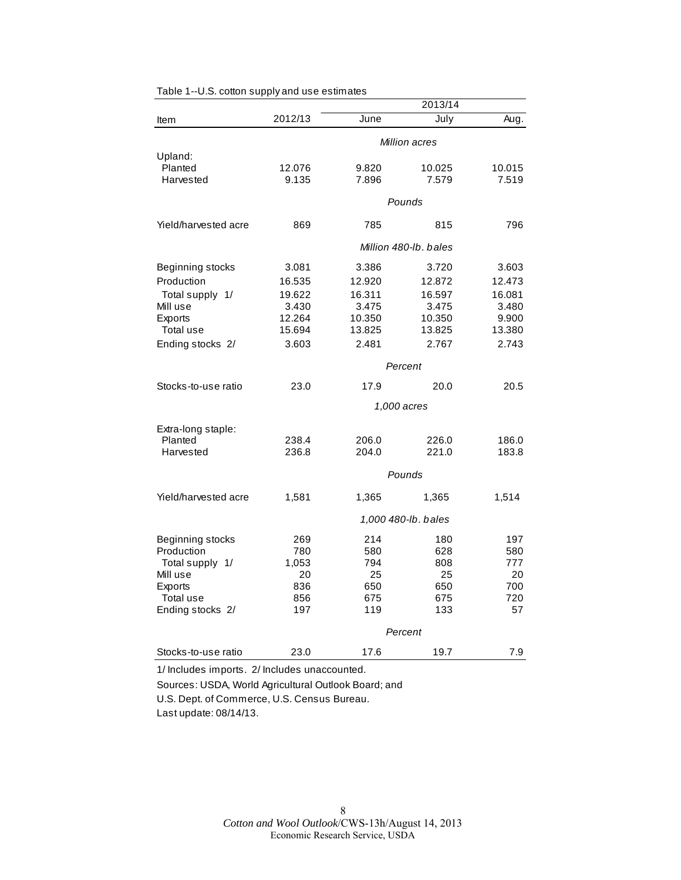| 2012/13<br>June<br>July<br>Aug.<br>Item<br>Million acres<br>Upland:<br>Planted<br>12.076<br>9.820<br>10.025<br>10.015<br>9.135<br>7.896<br>7.579<br>7.519<br>Harvested<br>Pounds<br>Yield/harvested acre<br>869<br>785<br>815<br>796<br>Million 480-lb, bales<br>Beginning stocks<br>3.081<br>3.386<br>3.720<br>3.603<br>Production<br>16.535<br>12.920<br>12.872<br>12.473<br>Total supply 1/<br>19.622<br>16.311<br>16.597<br>16.081<br>Mill use<br>3.430<br>3.475<br>3.475<br>3.480<br>Exports<br>12.264<br>10.350<br>10.350<br>9.900<br>Total use<br>15.694<br>13.825<br>13.825<br>13.380<br>2.481<br>2.767<br>Ending stocks 2/<br>3.603<br>2.743<br>Percent<br>Stocks-to-use ratio<br>23.0<br>17.9<br>20.0<br>20.5<br>1,000 acres<br>Extra-long staple:<br>Planted<br>238.4<br>206.0<br>226.0<br>186.0<br>Harvested<br>236.8<br>204.0<br>183.8<br>221.0<br>Pounds<br>Yield/harvested acre<br>1,581<br>1,365<br>1,514<br>1,365 |  |  | 2013/14 |  |
|------------------------------------------------------------------------------------------------------------------------------------------------------------------------------------------------------------------------------------------------------------------------------------------------------------------------------------------------------------------------------------------------------------------------------------------------------------------------------------------------------------------------------------------------------------------------------------------------------------------------------------------------------------------------------------------------------------------------------------------------------------------------------------------------------------------------------------------------------------------------------------------------------------------------------------|--|--|---------|--|
|                                                                                                                                                                                                                                                                                                                                                                                                                                                                                                                                                                                                                                                                                                                                                                                                                                                                                                                                    |  |  |         |  |
|                                                                                                                                                                                                                                                                                                                                                                                                                                                                                                                                                                                                                                                                                                                                                                                                                                                                                                                                    |  |  |         |  |
|                                                                                                                                                                                                                                                                                                                                                                                                                                                                                                                                                                                                                                                                                                                                                                                                                                                                                                                                    |  |  |         |  |
|                                                                                                                                                                                                                                                                                                                                                                                                                                                                                                                                                                                                                                                                                                                                                                                                                                                                                                                                    |  |  |         |  |
|                                                                                                                                                                                                                                                                                                                                                                                                                                                                                                                                                                                                                                                                                                                                                                                                                                                                                                                                    |  |  |         |  |
|                                                                                                                                                                                                                                                                                                                                                                                                                                                                                                                                                                                                                                                                                                                                                                                                                                                                                                                                    |  |  |         |  |
|                                                                                                                                                                                                                                                                                                                                                                                                                                                                                                                                                                                                                                                                                                                                                                                                                                                                                                                                    |  |  |         |  |
|                                                                                                                                                                                                                                                                                                                                                                                                                                                                                                                                                                                                                                                                                                                                                                                                                                                                                                                                    |  |  |         |  |
|                                                                                                                                                                                                                                                                                                                                                                                                                                                                                                                                                                                                                                                                                                                                                                                                                                                                                                                                    |  |  |         |  |
|                                                                                                                                                                                                                                                                                                                                                                                                                                                                                                                                                                                                                                                                                                                                                                                                                                                                                                                                    |  |  |         |  |
|                                                                                                                                                                                                                                                                                                                                                                                                                                                                                                                                                                                                                                                                                                                                                                                                                                                                                                                                    |  |  |         |  |
|                                                                                                                                                                                                                                                                                                                                                                                                                                                                                                                                                                                                                                                                                                                                                                                                                                                                                                                                    |  |  |         |  |
|                                                                                                                                                                                                                                                                                                                                                                                                                                                                                                                                                                                                                                                                                                                                                                                                                                                                                                                                    |  |  |         |  |
|                                                                                                                                                                                                                                                                                                                                                                                                                                                                                                                                                                                                                                                                                                                                                                                                                                                                                                                                    |  |  |         |  |
|                                                                                                                                                                                                                                                                                                                                                                                                                                                                                                                                                                                                                                                                                                                                                                                                                                                                                                                                    |  |  |         |  |
|                                                                                                                                                                                                                                                                                                                                                                                                                                                                                                                                                                                                                                                                                                                                                                                                                                                                                                                                    |  |  |         |  |
|                                                                                                                                                                                                                                                                                                                                                                                                                                                                                                                                                                                                                                                                                                                                                                                                                                                                                                                                    |  |  |         |  |
|                                                                                                                                                                                                                                                                                                                                                                                                                                                                                                                                                                                                                                                                                                                                                                                                                                                                                                                                    |  |  |         |  |
|                                                                                                                                                                                                                                                                                                                                                                                                                                                                                                                                                                                                                                                                                                                                                                                                                                                                                                                                    |  |  |         |  |
|                                                                                                                                                                                                                                                                                                                                                                                                                                                                                                                                                                                                                                                                                                                                                                                                                                                                                                                                    |  |  |         |  |
|                                                                                                                                                                                                                                                                                                                                                                                                                                                                                                                                                                                                                                                                                                                                                                                                                                                                                                                                    |  |  |         |  |
|                                                                                                                                                                                                                                                                                                                                                                                                                                                                                                                                                                                                                                                                                                                                                                                                                                                                                                                                    |  |  |         |  |
|                                                                                                                                                                                                                                                                                                                                                                                                                                                                                                                                                                                                                                                                                                                                                                                                                                                                                                                                    |  |  |         |  |
|                                                                                                                                                                                                                                                                                                                                                                                                                                                                                                                                                                                                                                                                                                                                                                                                                                                                                                                                    |  |  |         |  |
| 1,000 480-lb. bales                                                                                                                                                                                                                                                                                                                                                                                                                                                                                                                                                                                                                                                                                                                                                                                                                                                                                                                |  |  |         |  |
|                                                                                                                                                                                                                                                                                                                                                                                                                                                                                                                                                                                                                                                                                                                                                                                                                                                                                                                                    |  |  |         |  |
| Beginning stocks<br>214<br>180<br>197<br>269<br>Production<br>780<br>628                                                                                                                                                                                                                                                                                                                                                                                                                                                                                                                                                                                                                                                                                                                                                                                                                                                           |  |  |         |  |
| 580<br>580<br>1,053<br>794<br>777<br>Total supply 1/<br>808                                                                                                                                                                                                                                                                                                                                                                                                                                                                                                                                                                                                                                                                                                                                                                                                                                                                        |  |  |         |  |
| Mill use<br>20<br>25<br>25<br>20                                                                                                                                                                                                                                                                                                                                                                                                                                                                                                                                                                                                                                                                                                                                                                                                                                                                                                   |  |  |         |  |
| 836<br>650<br>650<br>700<br>Exports                                                                                                                                                                                                                                                                                                                                                                                                                                                                                                                                                                                                                                                                                                                                                                                                                                                                                                |  |  |         |  |
| Total use<br>675<br>720<br>856<br>675                                                                                                                                                                                                                                                                                                                                                                                                                                                                                                                                                                                                                                                                                                                                                                                                                                                                                              |  |  |         |  |
| 57<br>Ending stocks 2/<br>197<br>119<br>133                                                                                                                                                                                                                                                                                                                                                                                                                                                                                                                                                                                                                                                                                                                                                                                                                                                                                        |  |  |         |  |
| Percent                                                                                                                                                                                                                                                                                                                                                                                                                                                                                                                                                                                                                                                                                                                                                                                                                                                                                                                            |  |  |         |  |
| 23.0<br>17.6<br>19.7<br>Stocks-to-use ratio<br>7.9                                                                                                                                                                                                                                                                                                                                                                                                                                                                                                                                                                                                                                                                                                                                                                                                                                                                                 |  |  |         |  |

Table 1--U.S. cotton supply and use estimates

1/ Includes imports. 2/ Includes unaccounted. Sources: USDA, World Agricultural Outlook Board; and U.S. Dept. of Commerce, U.S. Census Bureau.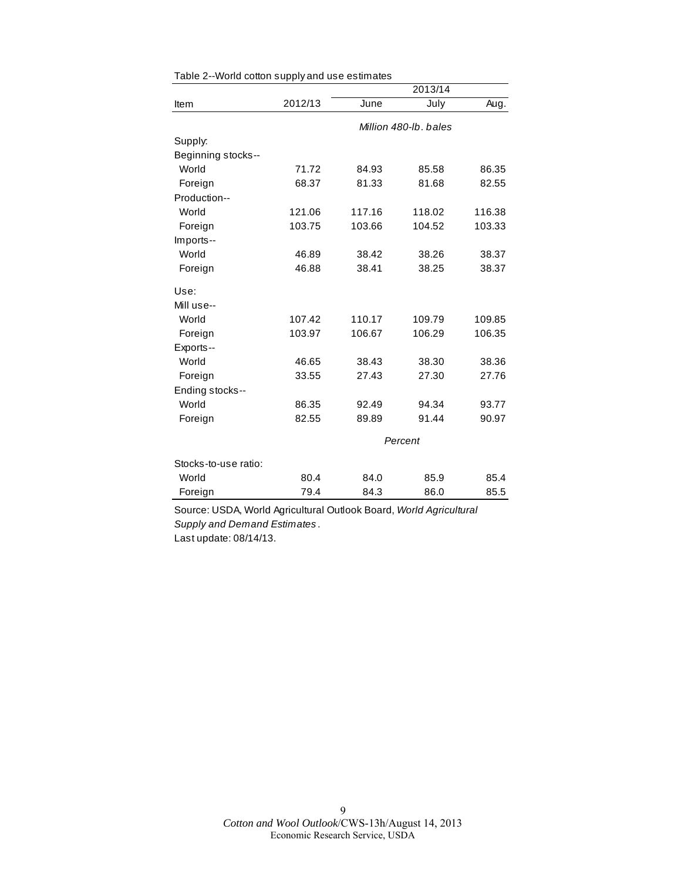| 2013/14              |         |        |                       |        |
|----------------------|---------|--------|-----------------------|--------|
| Item                 | 2012/13 | June   | July                  | Aug.   |
|                      |         |        | Million 480-lb, bales |        |
| Supply:              |         |        |                       |        |
| Beginning stocks--   |         |        |                       |        |
| World                | 71.72   | 84.93  | 85.58                 | 86.35  |
| Foreign              | 68.37   | 81.33  | 81.68                 | 82.55  |
| Production--         |         |        |                       |        |
| World                | 121.06  | 117.16 | 118.02                | 116.38 |
| Foreign              | 103.75  | 103.66 | 104.52                | 103.33 |
| Imports--            |         |        |                       |        |
| World                | 46.89   | 38.42  | 38.26                 | 38.37  |
| Foreign              | 46.88   | 38.41  | 38.25                 | 38.37  |
| Use:                 |         |        |                       |        |
| Mill use--           |         |        |                       |        |
| World                | 107.42  | 110.17 | 109.79                | 109.85 |
| Foreign              | 103.97  | 106.67 | 106.29                | 106.35 |
| Exports--            |         |        |                       |        |
| World                | 46.65   | 38.43  | 38.30                 | 38.36  |
| Foreign              | 33.55   | 27.43  | 27.30                 | 27.76  |
| Ending stocks--      |         |        |                       |        |
| World                | 86.35   | 92.49  | 94.34                 | 93.77  |
| Foreign              | 82.55   | 89.89  | 91.44                 | 90.97  |
|                      | Percent |        |                       |        |
| Stocks-to-use ratio: |         |        |                       |        |
| World                | 80.4    | 84.0   | 85.9                  | 85.4   |
| Foreign              | 79.4    | 84.3   | 86.0                  | 85.5   |

Table 2--World cotton supply and use estimates

Source: USDA, World Agricultural Outlook Board, *World Agricultural Supply and Demand Estimates* . Last update: 08/14/13.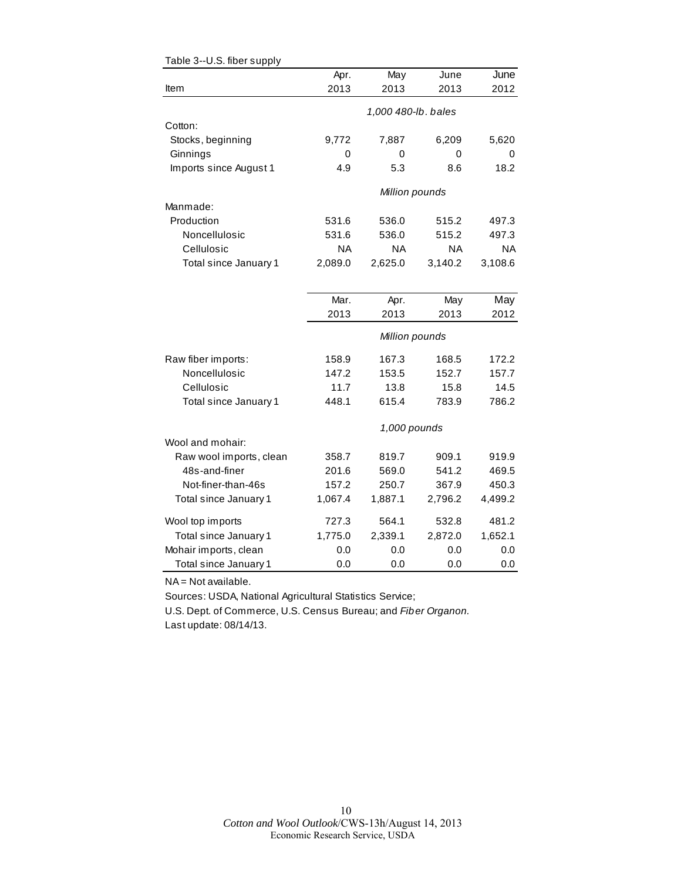|                         | Apr.    | May                 | June    | June    |
|-------------------------|---------|---------------------|---------|---------|
| Item                    | 2013    | 2013                | 2013    | 2012    |
|                         |         | 1,000 480-lb. bales |         |         |
| Cotton:                 |         |                     |         |         |
| Stocks, beginning       | 9,772   | 7,887               | 6,209   | 5,620   |
| Ginnings                | 0       | 0                   | 0       | 0       |
| Imports since August 1  | 4.9     | 5.3                 | 8.6     | 18.2    |
|                         |         | Million pounds      |         |         |
| Manmade:                |         |                     |         |         |
| Production              | 531.6   | 536.0               | 515.2   | 497.3   |
| Noncellulosic           | 531.6   | 536.0               | 515.2   | 497.3   |
| Cellulosic              | NA      | NA                  | NA      | NA.     |
| Total since January 1   | 2,089.0 | 2,625.0             | 3,140.2 | 3,108.6 |
|                         |         |                     |         |         |
|                         | Mar.    | Apr.                | May     | May     |
|                         | 2013    | 2013                | 2013    | 2012    |
|                         |         | Million pounds      |         |         |
| Raw fiber imports:      | 158.9   | 167.3               | 168.5   | 172.2   |
| Noncellulosic           | 147.2   | 153.5               | 152.7   | 157.7   |
| Cellulosic              | 11.7    | 13.8                | 15.8    | 14.5    |
| Total since January 1   | 448.1   | 615.4               | 783.9   | 786.2   |
|                         |         | 1,000 pounds        |         |         |
| Wool and mohair:        |         |                     |         |         |
| Raw wool imports, clean | 358.7   | 819.7               | 909.1   | 919.9   |
| 48s-and-finer           | 201.6   | 569.0               | 541.2   | 469.5   |
| Not-finer-than-46s      | 157.2   | 250.7               | 367.9   | 450.3   |
| Total since January 1   | 1,067.4 | 1,887.1             | 2,796.2 | 4,499.2 |
| Wool top imports        | 727.3   | 564.1               | 532.8   | 481.2   |
| Total since January 1   | 1,775.0 | 2,339.1             | 2,872.0 | 1,652.1 |
| Mohair imports, clean   | 0.0     | 0.0                 | 0.0     | 0.0     |
| Total since January 1   | 0.0     | 0.0                 | 0.0     | 0.0     |

#### Table 3--U.S. fiber supply

NA = Not available.

Sources: USDA, National Agricultural Statistics Service;

U.S. Dept. of Commerce, U.S. Census Bureau; and *Fiber Organon.* Last update: 08/14/13.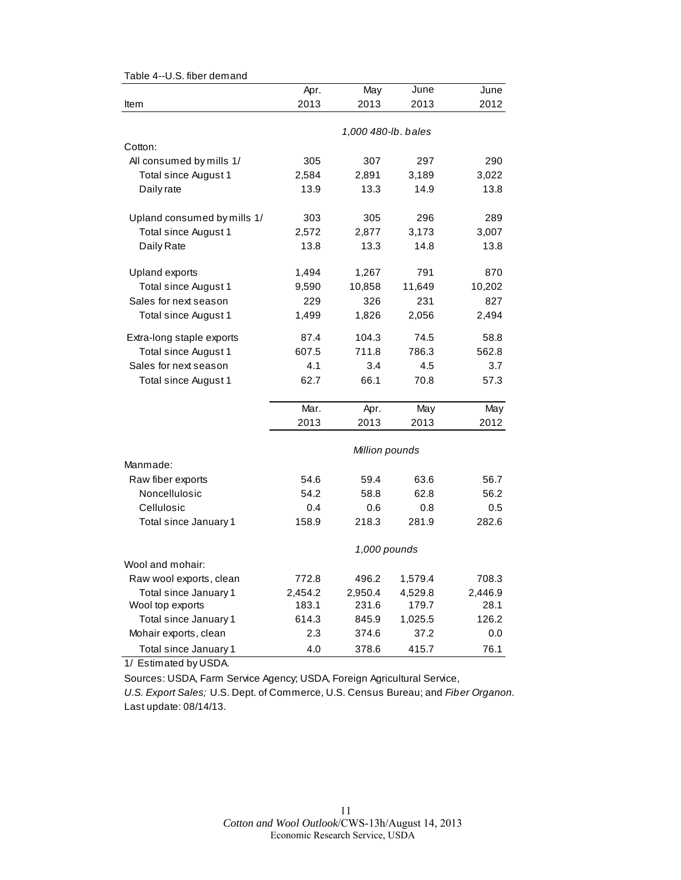| rable 4--0.5. liber demand  |                |                     |         |         |  |  |
|-----------------------------|----------------|---------------------|---------|---------|--|--|
|                             | Apr.           | May                 | June    | June    |  |  |
| Item                        | 2013           | 2013                | 2013    | 2012    |  |  |
|                             |                | 1,000 480-lb. bales |         |         |  |  |
| Cotton:                     |                |                     |         |         |  |  |
| All consumed by mills 1/    | 305            | 307                 | 297     | 290     |  |  |
| Total since August 1        | 2,584          | 2,891               | 3,189   | 3,022   |  |  |
| Daily rate                  | 13.9           | 13.3                | 14.9    | 13.8    |  |  |
| Upland consumed by mills 1/ | 303            | 305                 | 296     | 289     |  |  |
| Total since August 1        | 2,572          | 2,877               | 3,173   | 3,007   |  |  |
| Daily Rate                  | 13.8           | 13.3                | 14.8    | 13.8    |  |  |
| Upland exports              | 1,494          | 1,267               | 791     | 870     |  |  |
| Total since August 1        | 9,590          | 10,858              | 11,649  | 10,202  |  |  |
| Sales for next season       | 229            | 326                 | 231     | 827     |  |  |
| Total since August 1        | 1,499          | 1,826               | 2,056   | 2,494   |  |  |
| Extra-long staple exports   | 87.4           | 104.3               | 74.5    | 58.8    |  |  |
| Total since August 1        | 607.5          | 711.8               | 786.3   | 562.8   |  |  |
| Sales for next season       | 4.1            | 3.4                 | 4.5     | 3.7     |  |  |
| Total since August 1        | 62.7           | 66.1                | 70.8    | 57.3    |  |  |
|                             | Mar.           | Apr.                | May     | May     |  |  |
|                             | 2013           | 2013                | 2013    | 2012    |  |  |
|                             | Million pounds |                     |         |         |  |  |
| Manmade:                    |                |                     |         |         |  |  |
| Raw fiber exports           | 54.6           | 59.4                | 63.6    | 56.7    |  |  |
| Noncellulosic               | 54.2           | 58.8                | 62.8    | 56.2    |  |  |
| Cellulosic                  | 0.4            | 0.6                 | 0.8     | 0.5     |  |  |
| Total since January 1       | 158.9          | 218.3               | 281.9   | 282.6   |  |  |
|                             | 1,000 pounds   |                     |         |         |  |  |
| Wool and mohair:            |                |                     |         |         |  |  |
| Raw wool exports, clean     | 772.8          | 496.2               | 1,579.4 | 708.3   |  |  |
| Total since January 1       | 2,454.2        | 2,950.4             | 4,529.8 | 2,446.9 |  |  |
| Wool top exports            | 183.1          | 231.6               | 179.7   | 28.1    |  |  |
| Total since January 1       | 614.3          | 845.9               | 1,025.5 | 126.2   |  |  |
| Mohair exports, clean       | 2.3            | 374.6               | 37.2    | 0.0     |  |  |
| Total since January 1       | 4.0            | 378.6               | 415.7   | 76.1    |  |  |

Table 4--U.S. fiber demand

1/ Estimated by USDA.

Sources: USDA, Farm Service Agency; USDA, Foreign Agricultural Service,

*U.S. Export Sales;* U.S. Dept. of Commerce, U.S. Census Bureau; and *Fiber Organon.* Last update: 08/14/13.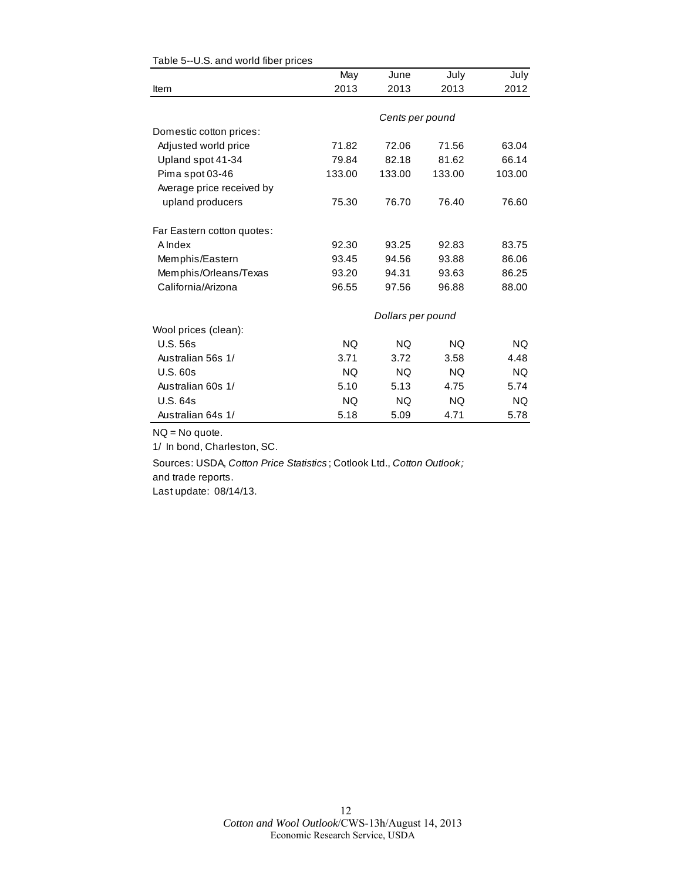|                            | May       | June              | July      | July      |
|----------------------------|-----------|-------------------|-----------|-----------|
| Item                       | 2013      | 2013              | 2013      | 2012      |
|                            |           |                   |           |           |
|                            |           | Cents per pound   |           |           |
| Domestic cotton prices:    |           |                   |           |           |
| Adjusted world price       | 71.82     | 72.06             | 71.56     | 63.04     |
| Upland spot 41-34          | 79.84     | 82.18             | 81.62     | 66.14     |
| Pima spot 03-46            | 133.00    | 133.00            | 133.00    | 103.00    |
| Average price received by  |           |                   |           |           |
| upland producers           | 75.30     | 76.70             | 76.40     | 76.60     |
| Far Eastern cotton quotes: |           |                   |           |           |
| A Index                    | 92.30     | 93.25             | 92.83     | 83.75     |
| Memphis/Eastern            | 93.45     | 94.56             | 93.88     | 86.06     |
| Memphis/Orleans/Texas      | 93.20     | 94.31             | 93.63     | 86.25     |
| California/Arizona         | 96.55     | 97.56             | 96.88     | 88.00     |
|                            |           | Dollars per pound |           |           |
| Wool prices (clean):       |           |                   |           |           |
| <b>U.S. 56s</b>            | <b>NQ</b> | <b>NQ</b>         | <b>NQ</b> | <b>NQ</b> |
| Australian 56s 1/          | 3.71      | 3.72              | 3.58      | 4.48      |
| U.S.60s                    | NQ.       | <b>NQ</b>         | <b>NQ</b> | <b>NQ</b> |
| Australian 60s 1/          | 5.10      | 5.13              | 4.75      | 5.74      |
| <b>U.S. 64s</b>            | NQ.       | NQ.               | <b>NQ</b> | <b>NQ</b> |
| Australian 64s 1/          | 5.18      | 5.09              | 4.71      | 5.78      |

#### Table 5--U.S. and world fiber prices

NQ = No quote.

1/ In bond, Charleston, SC.

Sources: USDA, *Cotton Price Statistics* ; Cotlook Ltd., *Cotton Outlook;*  and trade reports.

Last update: 08/14/13.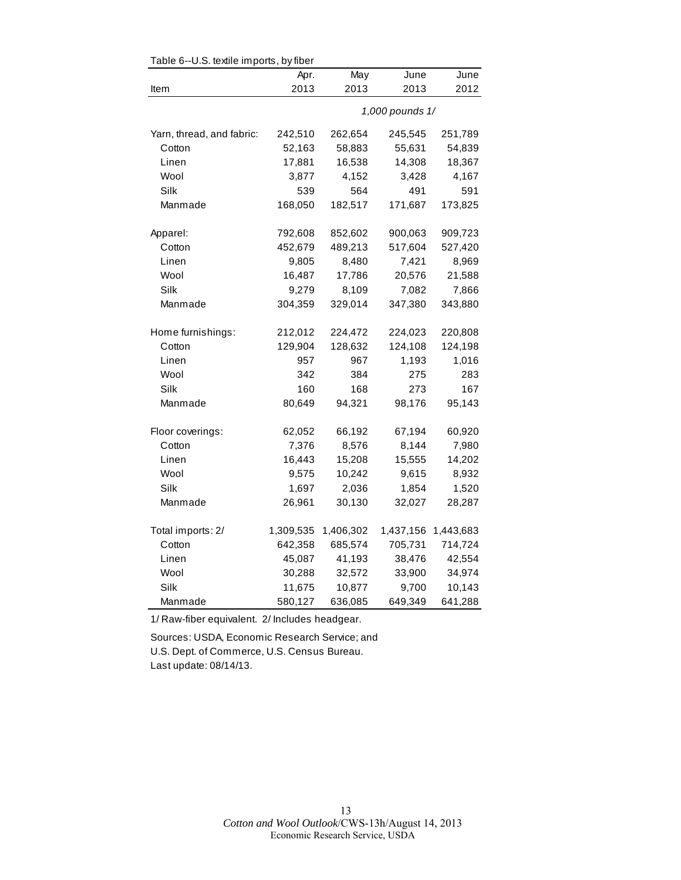| Table 6--U.S. textile imports, by fiber |           |           |                 |           |  |
|-----------------------------------------|-----------|-----------|-----------------|-----------|--|
|                                         | Apr.      | May       | June            | June      |  |
| Item                                    | 2013      | 2013      | 2013            | 2012      |  |
|                                         |           |           | 1,000 pounds 1/ |           |  |
| Yarn, thread, and fabric:               | 242,510   | 262,654   | 245,545         | 251,789   |  |
| Cotton                                  | 52,163    | 58,883    | 55,631          | 54,839    |  |
| Linen                                   | 17,881    | 16,538    | 14,308          | 18,367    |  |
| Wool                                    | 3,877     | 4,152     | 3,428           | 4,167     |  |
| Silk                                    | 539       | 564       | 491             | 591       |  |
| Manmade                                 | 168,050   | 182,517   | 171,687         | 173,825   |  |
| Apparel:                                | 792,608   | 852,602   | 900,063         | 909,723   |  |
| Cotton                                  | 452,679   | 489,213   | 517,604         | 527,420   |  |
| Linen                                   | 9,805     | 8,480     | 7,421           | 8,969     |  |
| Wool                                    | 16,487    | 17,786    | 20,576          | 21,588    |  |
| Silk                                    | 9,279     | 8,109     | 7,082           | 7,866     |  |
| Manmade                                 | 304,359   | 329,014   | 347,380         | 343,880   |  |
| Home furnishings:                       | 212,012   | 224,472   | 224,023         | 220,808   |  |
| Cotton                                  | 129,904   | 128,632   | 124,108         | 124,198   |  |
| Linen                                   | 957       | 967       | 1,193           | 1,016     |  |
| Wool                                    | 342       | 384       | 275             | 283       |  |
| Silk                                    | 160       | 168       | 273             | 167       |  |
| Manmade                                 | 80,649    | 94,321    | 98,176          | 95,143    |  |
| Floor coverings:                        | 62,052    | 66,192    | 67,194          | 60,920    |  |
| Cotton                                  | 7,376     | 8,576     | 8,144           | 7,980     |  |
| Linen                                   | 16,443    | 15,208    | 15,555          | 14,202    |  |
| Wool                                    | 9,575     | 10,242    | 9,615           | 8,932     |  |
| Silk                                    | 1,697     | 2,036     | 1,854           | 1,520     |  |
| Manmade                                 | 26,961    | 30,130    | 32,027          | 28,287    |  |
| Total imports: 2/                       | 1,309,535 | 1,406,302 | 1,437,156       | 1,443,683 |  |
| Cotton                                  | 642,358   | 685,574   | 705,731         | 714,724   |  |
| Linen                                   | 45,087    | 41,193    | 38,476          | 42,554    |  |
| Wool                                    | 30,288    | 32,572    | 33,900          | 34,974    |  |
| Silk                                    | 11,675    | 10,877    | 9,700           | 10,143    |  |
| Manmade                                 | 580,127   | 636,085   | 649,349         | 641,288   |  |

1/ Raw-fiber equivalent. 2/ Includes headgear.

Sources: USDA, Economic Research Service; and U.S. Dept. of Commerce, U.S. Census Bureau. Last update: 08/14/13.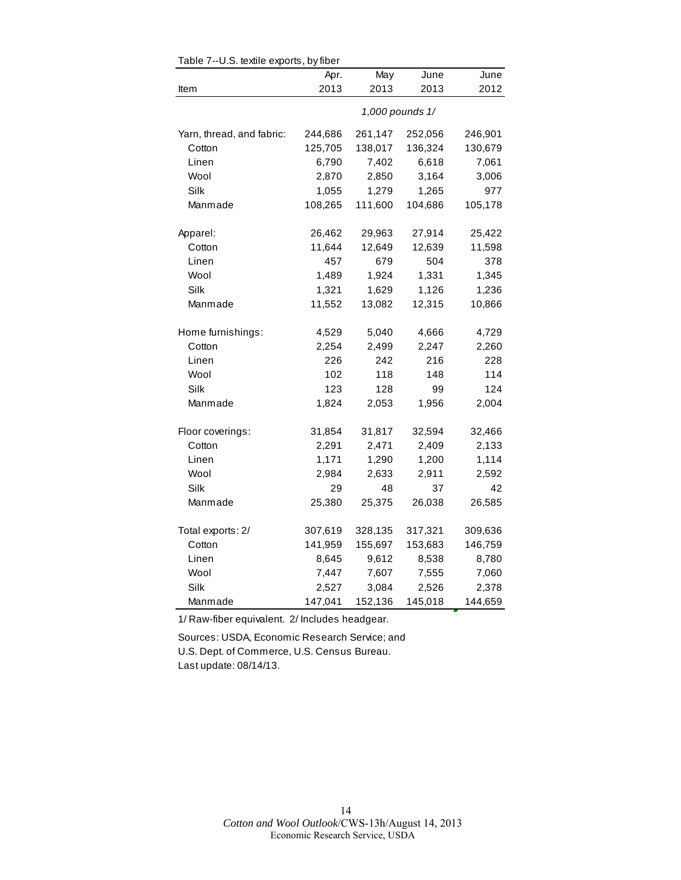|                           | Apr.    | May     | June            | June    |
|---------------------------|---------|---------|-----------------|---------|
| Item                      | 2013    | 2013    | 2013            | 2012    |
|                           |         |         | 1,000 pounds 1/ |         |
| Yarn, thread, and fabric: | 244,686 | 261,147 | 252,056         | 246,901 |
| Cotton                    | 125,705 | 138,017 | 136,324         | 130,679 |
| Linen                     | 6,790   | 7,402   | 6,618           | 7,061   |
| Wool                      | 2,870   | 2,850   | 3,164           | 3,006   |
| Silk                      | 1,055   | 1,279   | 1,265           | 977     |
| Manmade                   | 108,265 | 111,600 | 104,686         | 105,178 |
| Apparel:                  | 26,462  | 29,963  | 27,914          | 25,422  |
| Cotton                    | 11,644  | 12,649  | 12,639          | 11,598  |
| Linen                     | 457     | 679     | 504             | 378     |
| Wool                      | 1,489   | 1,924   | 1,331           | 1,345   |
| Silk                      | 1,321   | 1,629   | 1,126           | 1,236   |
| Manmade                   | 11,552  | 13,082  | 12,315          | 10,866  |
| Home furnishings:         | 4,529   | 5,040   | 4,666           | 4,729   |
| Cotton                    | 2,254   | 2,499   | 2,247           | 2,260   |
| Linen                     | 226     | 242     | 216             | 228     |
| Wool                      | 102     | 118     | 148             | 114     |
| Silk                      | 123     | 128     | 99              | 124     |
| Manmade                   | 1,824   | 2,053   | 1,956           | 2,004   |
| Floor coverings:          | 31,854  | 31,817  | 32,594          | 32,466  |
| Cotton                    | 2,291   | 2,471   | 2,409           | 2,133   |
| Linen                     | 1,171   | 1,290   | 1,200           | 1,114   |
| Wool                      | 2,984   | 2,633   | 2,911           | 2,592   |
| Silk                      | 29      | 48      | 37              | 42      |
| Manmade                   | 25,380  | 25,375  | 26,038          | 26,585  |
| Total exports: 2/         | 307,619 | 328,135 | 317,321         | 309,636 |
| Cotton                    | 141,959 | 155,697 | 153,683         | 146,759 |
| Linen                     | 8,645   | 9,612   | 8,538           | 8,780   |
| Wool                      | 7,447   | 7,607   | 7,555           | 7,060   |
| Silk                      | 2,527   | 3,084   | 2,526           | 2,378   |
| Manmade                   | 147,041 | 152,136 | 145,018         | 144,659 |

Table 7--U.S. textile exports, by fiber

1/ Raw-fiber equivalent. 2/ Includes headgear.

Sources: USDA, Economic Research Service; and U.S. Dept. of Commerce, U.S. Census Bureau. Last update: 08/14/13.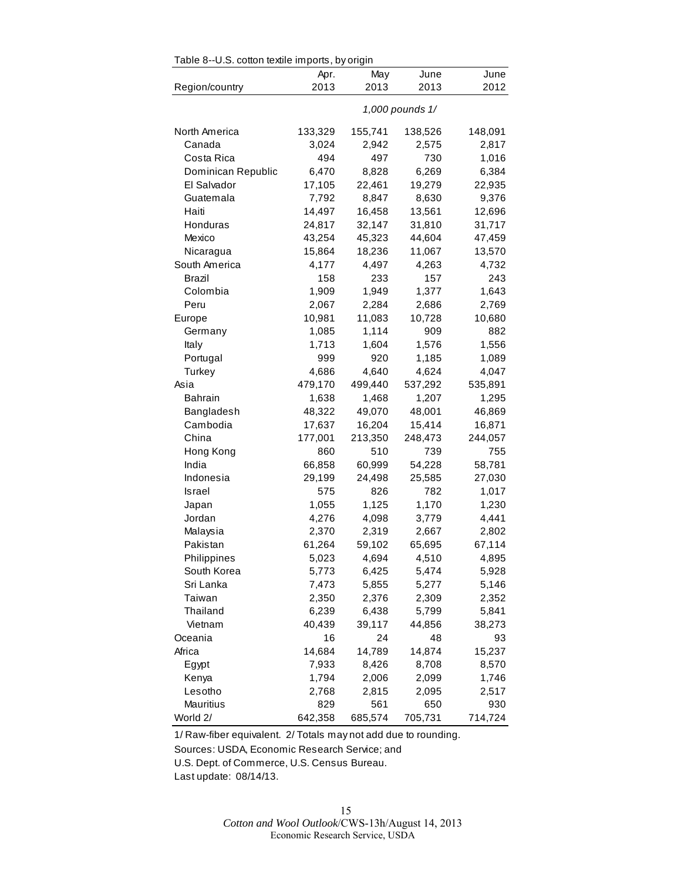| Table 8--U.S. cotton textile imports, by origin |                 |                 |                 |         |  |
|-------------------------------------------------|-----------------|-----------------|-----------------|---------|--|
|                                                 | Apr.            | May             | June            | June    |  |
| Region/country                                  | 2013            | 2013            | 2013            | 2012    |  |
|                                                 |                 |                 | 1,000 pounds 1/ |         |  |
| North America                                   | 133,329         | 155,741         | 138,526         | 148,091 |  |
| Canada                                          | 3,024           | 2,942           | 2,575           | 2,817   |  |
| Costa Rica                                      | 494             | 497             | 730             | 1,016   |  |
| Dominican Republic                              | 6,470           | 8,828           | 6,269           | 6,384   |  |
| El Salvador                                     | 17,105          | 22,461          | 19,279          | 22,935  |  |
| Guatemala                                       | 7,792           | 8,847           | 8,630           | 9,376   |  |
| Haiti                                           | 14,497          | 16,458          | 13,561          | 12,696  |  |
| Honduras                                        | 24,817          | 32,147          | 31,810          | 31,717  |  |
| Mexico                                          | 43,254          | 45,323          | 44,604          | 47,459  |  |
| Nicaragua                                       | 15,864          | 18,236          | 11,067          | 13,570  |  |
| South America                                   | 4,177           | 4,497           | 4,263           | 4,732   |  |
| Brazil                                          | 158             | 233             | 157             | 243     |  |
| Colombia                                        | 1,909           | 1,949           | 1,377           | 1,643   |  |
| Peru                                            | 2,067           | 2,284           | 2,686           | 2,769   |  |
| Europe                                          | 10,981          | 11,083          | 10,728          | 10,680  |  |
| Germany                                         | 1,085           | 1,114           | 909             | 882     |  |
| Italy                                           | 1,713           | 1,604           | 1,576           | 1,556   |  |
| Portugal                                        | 999             | 920             | 1,185           | 1,089   |  |
| Turkey                                          | 4,686           | 4,640           | 4,624           | 4,047   |  |
| Asia                                            | 479,170         | 499,440         | 537,292         | 535,891 |  |
| <b>Bahrain</b>                                  | 1,638           | 1,468           | 1,207           | 1,295   |  |
| Bangladesh                                      | 48,322          | 49,070          | 48,001          | 46,869  |  |
| Cambodia                                        | 17,637          | 16,204          | 15,414          | 16,871  |  |
| China                                           | 177,001         | 213,350         | 248,473         | 244,057 |  |
| Hong Kong                                       | 860             | 510             | 739             | 755     |  |
| India                                           | 66,858          | 60,999          | 54,228          | 58,781  |  |
| Indonesia                                       | 29,199          | 24,498          | 25,585          | 27,030  |  |
| Israel                                          | 575             | 826             | 782             | 1,017   |  |
|                                                 | 1,055           | 1,125           | 1,170           | 1,230   |  |
| Japan<br>Jordan                                 |                 | 4,098           | 3,779           | 4,441   |  |
| Malaysia                                        | 4,276<br>2,370  | 2,319           | 2,667           | 2,802   |  |
| Pakistan                                        |                 |                 |                 |         |  |
|                                                 | 61,264<br>5,023 | 59,102<br>4,694 | 65,695<br>4,510 | 67,114  |  |
| Philippines<br>South Korea                      | 5,773           |                 |                 | 4,895   |  |
| Sri Lanka                                       |                 | 6,425           | 5,474<br>5,277  | 5,928   |  |
|                                                 | 7,473<br>2,350  | 5,855           |                 | 5,146   |  |
| Taiwan                                          |                 | 2,376           | 2,309           | 2,352   |  |
| Thailand                                        | 6,239           | 6,438           | 5,799           | 5,841   |  |
| Vietnam<br>Oceania                              | 40,439          | 39,117          | 44,856<br>48    | 38,273  |  |
|                                                 | 16              | 24              |                 | 93      |  |
| Africa                                          | 14,684          | 14,789          | 14,874          | 15,237  |  |
| Egypt                                           | 7,933           | 8,426           | 8,708           | 8,570   |  |
| Kenya                                           | 1,794           | 2,006           | 2,099           | 1,746   |  |
| Lesotho                                         | 2,768           | 2,815           | 2,095           | 2,517   |  |
| Mauritius                                       | 829             | 561             | 650             | 930     |  |
| World 2/                                        | 642,358         | 685,574         | 705,731         | 714,724 |  |

1/ Raw-fiber equivalent. 2/ Totals may not add due to rounding.

Sources: USDA, Economic Research Service; and

U.S. Dept. of Commerce, U.S. Census Bureau.

Last update: 08/14/13.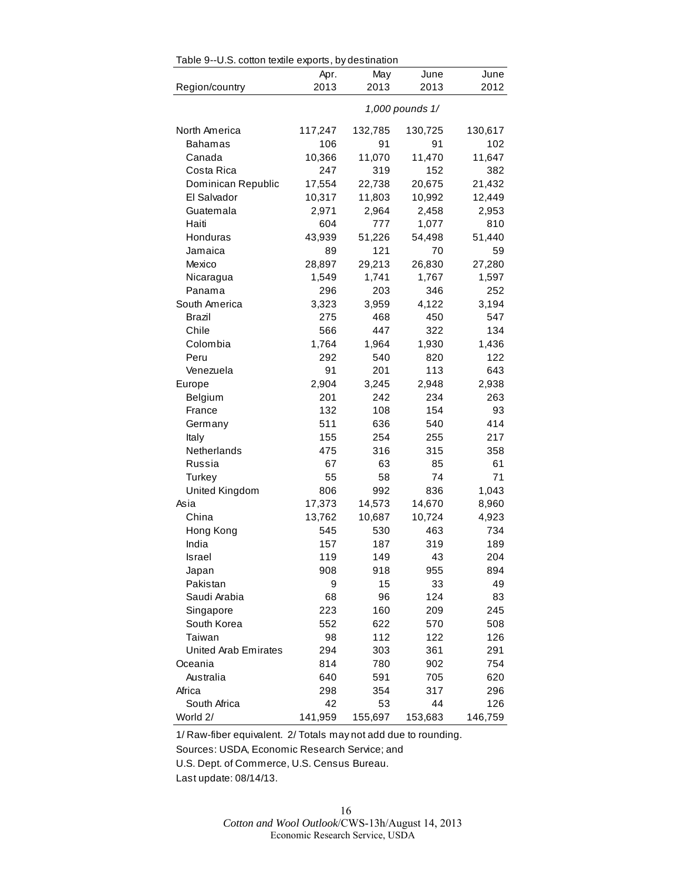| Table 9--U.S. cotton textile exports, by destination |         |         |                 |         |
|------------------------------------------------------|---------|---------|-----------------|---------|
|                                                      | Apr.    | May     | June            | June    |
| Region/country                                       | 2013    | 2013    | 2013            | 2012    |
|                                                      |         |         | 1,000 pounds 1/ |         |
| North America                                        | 117,247 | 132,785 | 130,725         | 130,617 |
| <b>Bahamas</b>                                       | 106     | 91      | 91              | 102     |
| Canada                                               | 10,366  | 11,070  | 11,470          | 11,647  |
| Costa Rica                                           | 247     | 319     | 152             | 382     |
| Dominican Republic                                   | 17,554  | 22,738  | 20,675          | 21,432  |
| El Salvador                                          | 10,317  | 11,803  | 10,992          | 12,449  |
| Guatemala                                            | 2,971   | 2,964   | 2,458           | 2,953   |
| Haiti                                                | 604     | 777     | 1,077           | 810     |
| Honduras                                             | 43,939  | 51,226  | 54,498          | 51,440  |
| Jamaica                                              | 89      | 121     | 70              | 59      |
| Mexico                                               | 28,897  | 29,213  | 26,830          | 27,280  |
| Nicaragua                                            | 1,549   | 1,741   | 1,767           | 1,597   |
| Panama                                               | 296     | 203     | 346             | 252     |
| South America                                        | 3,323   | 3,959   | 4,122           | 3,194   |
| Brazil                                               | 275     | 468     | 450             | 547     |
| Chile                                                | 566     | 447     | 322             | 134     |
| Colombia                                             | 1,764   | 1,964   | 1,930           | 1,436   |
| Peru                                                 | 292     | 540     | 820             | 122     |
| Venezuela                                            | 91      | 201     | 113             | 643     |
| Europe                                               | 2,904   | 3,245   | 2,948           | 2,938   |
| Belgium                                              | 201     | 242     | 234             | 263     |
| France                                               | 132     | 108     | 154             | 93      |
| Germany                                              | 511     | 636     | 540             | 414     |
| Italy                                                | 155     | 254     | 255             | 217     |
| Netherlands                                          | 475     | 316     | 315             | 358     |
| Russia                                               | 67      | 63      | 85              | 61      |
| Turkey                                               | 55      | 58      | 74              | 71      |
| United Kingdom                                       | 806     | 992     | 836             | 1,043   |
| Asia                                                 | 17,373  | 14,573  | 14,670          | 8,960   |
| China                                                | 13,762  | 10,687  | 10,724          | 4,923   |
| Hong Kong                                            | 545     | 530     | 463             | 734     |
| India                                                | 157     | 187     | 319             | 189     |
| Israel                                               | 119     | 149     | 43              | 204     |
| Japan                                                | 908     | 918     | 955             | 894     |
| Pakistan                                             | 9       | 15      | 33              | 49      |
| Saudi Arabia                                         | 68      | 96      | 124             | 83      |
| Singapore                                            | 223     | 160     | 209             | 245     |
| South Korea                                          | 552     | 622     | 570             | 508     |
| Taiwan                                               | 98      | 112     | 122             | 126     |
| <b>United Arab Emirates</b>                          | 294     | 303     | 361             | 291     |
| Oceania                                              | 814     | 780     | 902             | 754     |
| Australia                                            | 640     | 591     | 705             | 620     |
| Africa                                               | 298     | 354     | 317             | 296     |
| South Africa                                         | 42      | 53      | 44              | 126     |
| World 2/                                             | 141,959 | 155,697 | 153,683         | 146,759 |

 $Table 0-11$  S, cotton textile experts, by destination

1/ Raw-fiber equivalent. 2/ Totals may not add due to rounding.

Sources: USDA, Economic Research Service; and

U.S. Dept. of Commerce, U.S. Census Bureau.

Last update: 08/14/13.